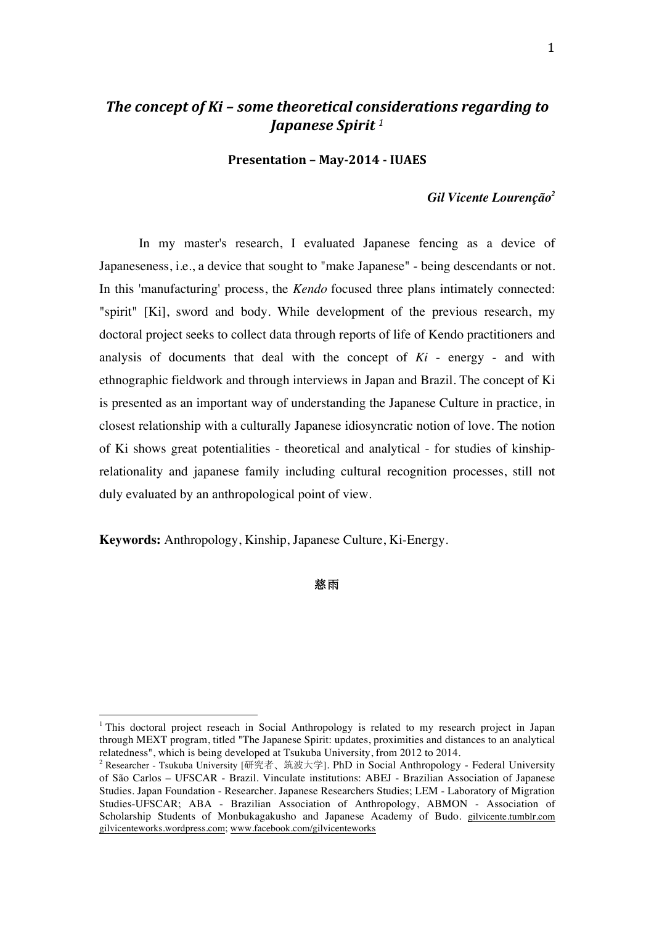# *The concept of Ki – some theoretical considerations regarding to Japanese Spirit <sup>1</sup>*

**Presentation – May-2014 - IUAES**

### *Gil Vicente Lourenção<sup>2</sup>*

In my master's research, I evaluated Japanese fencing as a device of Japaneseness, i.e., a device that sought to "make Japanese" - being descendants or not. In this 'manufacturing' process, the *Kendo* focused three plans intimately connected: "spirit" [Ki], sword and body. While development of the previous research, my doctoral project seeks to collect data through reports of life of Kendo practitioners and analysis of documents that deal with the concept of *Ki* - energy - and with ethnographic fieldwork and through interviews in Japan and Brazil. The concept of Ki is presented as an important way of understanding the Japanese Culture in practice, in closest relationship with a culturally Japanese idiosyncratic notion of love. The notion of Ki shows great potentialities - theoretical and analytical - for studies of kinshiprelationality and japanese family including cultural recognition processes, still not duly evaluated by an anthropological point of view.

**Keywords:** Anthropology, Kinship, Japanese Culture, Ki-Energy.

 

## 慈雨

<sup>&</sup>lt;sup>1</sup> This doctoral project reseach in Social Anthropology is related to my research project in Japan through MEXT program, titled "The Japanese Spirit: updates, proximities and distances to an analytical relatedness", which is being developed at Tsukuba University, from 2012 to 2014.

<sup>2</sup> Researcher - Tsukuba University [研究者、筑波大学]. PhD in Social Anthropology - Federal University of São Carlos – UFSCAR - Brazil. Vinculate institutions: ABEJ - Brazilian Association of Japanese Studies. Japan Foundation - Researcher. Japanese Researchers Studies; LEM - Laboratory of Migration Studies-UFSCAR; ABA - Brazilian Association of Anthropology, ABMON - Association of Scholarship Students of Monbukagakusho and Japanese Academy of Budo. gilvicente.tumblr.com gilvicenteworks.wordpress.com; www.facebook.com/gilvicenteworks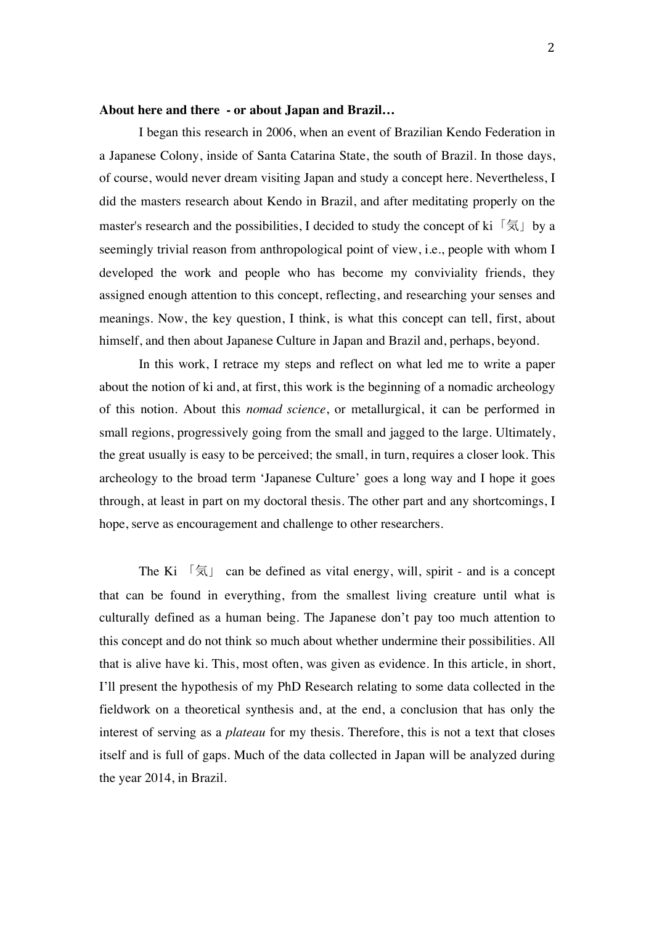### **About here and there - or about Japan and Brazil…**

I began this research in 2006, when an event of Brazilian Kendo Federation in a Japanese Colony, inside of Santa Catarina State, the south of Brazil. In those days, of course, would never dream visiting Japan and study a concept here. Nevertheless, I did the masters research about Kendo in Brazil, and after meditating properly on the master's research and the possibilities, I decided to study the concept of ki  $\lceil \xi \rceil$  by a seemingly trivial reason from anthropological point of view, i.e., people with whom I developed the work and people who has become my conviviality friends, they assigned enough attention to this concept, reflecting, and researching your senses and meanings. Now, the key question, I think, is what this concept can tell, first, about himself, and then about Japanese Culture in Japan and Brazil and, perhaps, beyond.

In this work, I retrace my steps and reflect on what led me to write a paper about the notion of ki and, at first, this work is the beginning of a nomadic archeology of this notion. About this *nomad science*, or metallurgical, it can be performed in small regions, progressively going from the small and jagged to the large. Ultimately, the great usually is easy to be perceived; the small, in turn, requires a closer look. This archeology to the broad term 'Japanese Culture' goes a long way and I hope it goes through, at least in part on my doctoral thesis. The other part and any shortcomings, I hope, serve as encouragement and challenge to other researchers.

The Ki  $\lceil \frac{1}{2} \rceil$  can be defined as vital energy, will, spirit - and is a concept that can be found in everything, from the smallest living creature until what is culturally defined as a human being. The Japanese don't pay too much attention to this concept and do not think so much about whether undermine their possibilities. All that is alive have ki. This, most often, was given as evidence. In this article, in short, I'll present the hypothesis of my PhD Research relating to some data collected in the fieldwork on a theoretical synthesis and, at the end, a conclusion that has only the interest of serving as a *plateau* for my thesis. Therefore, this is not a text that closes itself and is full of gaps. Much of the data collected in Japan will be analyzed during the year 2014, in Brazil.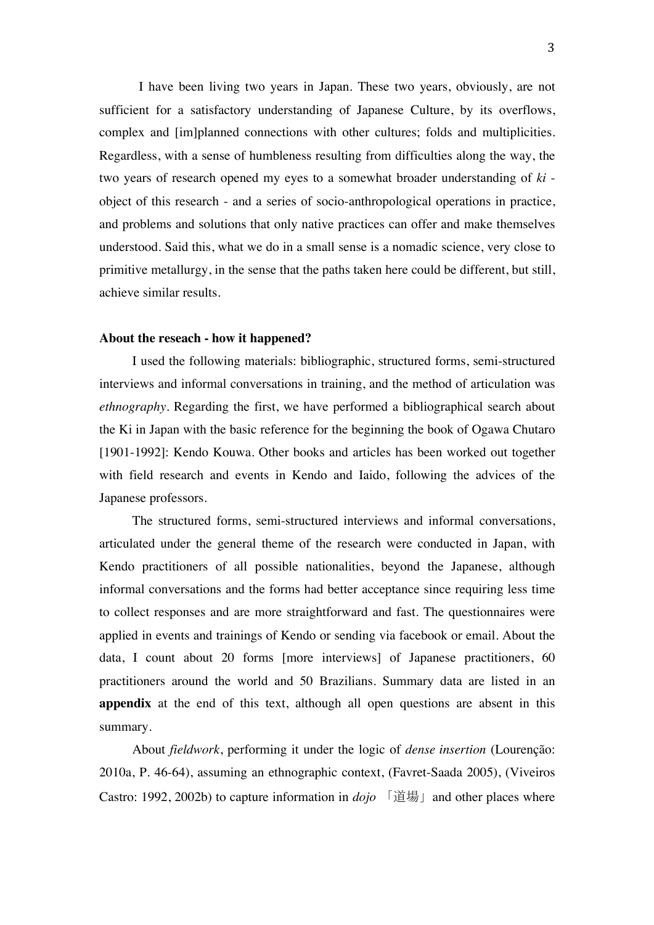I have been living two years in Japan. These two years, obviously, are not sufficient for a satisfactory understanding of Japanese Culture, by its overflows, complex and [im]planned connections with other cultures; folds and multiplicities. Regardless, with a sense of humbleness resulting from difficulties along the way, the two years of research opened my eyes to a somewhat broader understanding of *ki* object of this research - and a series of socio-anthropological operations in practice, and problems and solutions that only native practices can offer and make themselves understood. Said this, what we do in a small sense is a nomadic science, very close to primitive metallurgy, in the sense that the paths taken here could be different, but still, achieve similar results.

#### **About the reseach - how it happened?**

I used the following materials: bibliographic, structured forms, semi-structured interviews and informal conversations in training, and the method of articulation was *ethnography*. Regarding the first, we have performed a bibliographical search about the Ki in Japan with the basic reference for the beginning the book of Ogawa Chutaro [1901-1992]: Kendo Kouwa. Other books and articles has been worked out together with field research and events in Kendo and Iaido, following the advices of the Japanese professors.

The structured forms, semi-structured interviews and informal conversations, articulated under the general theme of the research were conducted in Japan, with Kendo practitioners of all possible nationalities, beyond the Japanese, although informal conversations and the forms had better acceptance since requiring less time to collect responses and are more straightforward and fast. The questionnaires were applied in events and trainings of Kendo or sending via facebook or email. About the data, I count about 20 forms [more interviews] of Japanese practitioners, 60 practitioners around the world and 50 Brazilians. Summary data are listed in an **appendix** at the end of this text, although all open questions are absent in this summary.

About *fieldwork*, performing it under the logic of *dense insertion* (Lourenção: 2010a, P. 46-64), assuming an ethnographic context, (Favret-Saada 2005), (Viveiros Castro: 1992, 2002b) to capture information in *dojo* 「道場」and other places where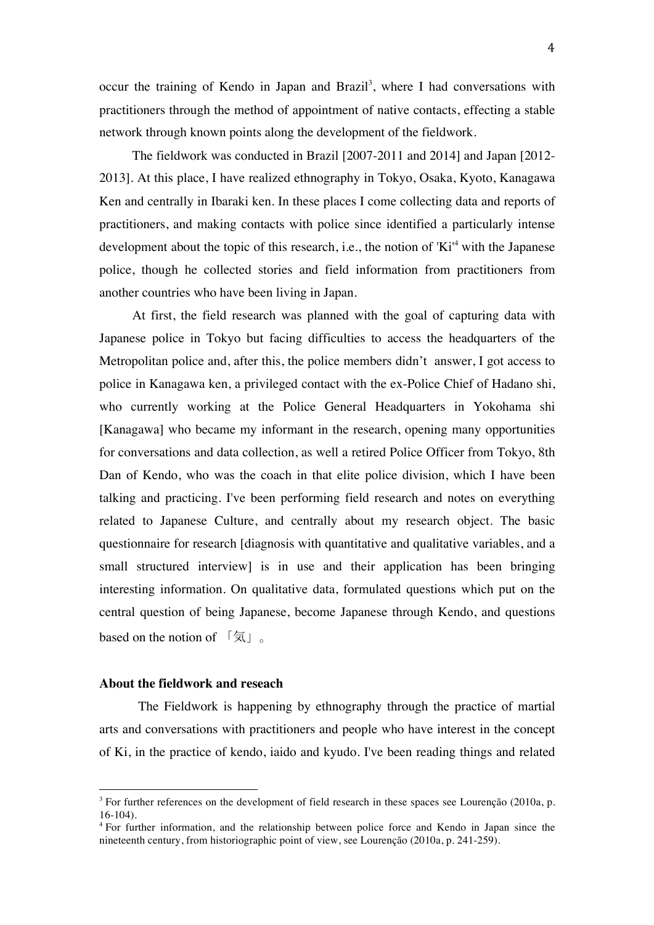occur the training of Kendo in Japan and Brazil<sup>3</sup>, where I had conversations with practitioners through the method of appointment of native contacts, effecting a stable network through known points along the development of the fieldwork.

The fieldwork was conducted in Brazil [2007-2011 and 2014] and Japan [2012- 2013]. At this place, I have realized ethnography in Tokyo, Osaka, Kyoto, Kanagawa Ken and centrally in Ibaraki ken. In these places I come collecting data and reports of practitioners, and making contacts with police since identified a particularly intense development about the topic of this research, i.e., the notion of 'Ki<sup>4</sup> with the Japanese police, though he collected stories and field information from practitioners from another countries who have been living in Japan.

At first, the field research was planned with the goal of capturing data with Japanese police in Tokyo but facing difficulties to access the headquarters of the Metropolitan police and, after this, the police members didn't answer, I got access to police in Kanagawa ken, a privileged contact with the ex-Police Chief of Hadano shi, who currently working at the Police General Headquarters in Yokohama shi [Kanagawa] who became my informant in the research, opening many opportunities for conversations and data collection, as well a retired Police Officer from Tokyo, 8th Dan of Kendo, who was the coach in that elite police division, which I have been talking and practicing. I've been performing field research and notes on everything related to Japanese Culture, and centrally about my research object. The basic questionnaire for research [diagnosis with quantitative and qualitative variables, and a small structured interview] is in use and their application has been bringing interesting information. On qualitative data, formulated questions which put on the central question of being Japanese, become Japanese through Kendo, and questions based on the notion of  $\lceil \xi \rceil$ .

#### **About the fieldwork and reseach**

 

The Fieldwork is happening by ethnography through the practice of martial arts and conversations with practitioners and people who have interest in the concept of Ki, in the practice of kendo, iaido and kyudo. I've been reading things and related

<sup>&</sup>lt;sup>3</sup> For further references on the development of field research in these spaces see Lourenção (2010a, p. 16-104).

<sup>&</sup>lt;sup>4</sup> For further information, and the relationship between police force and Kendo in Japan since the nineteenth century, from historiographic point of view, see Lourenção (2010a, p. 241-259).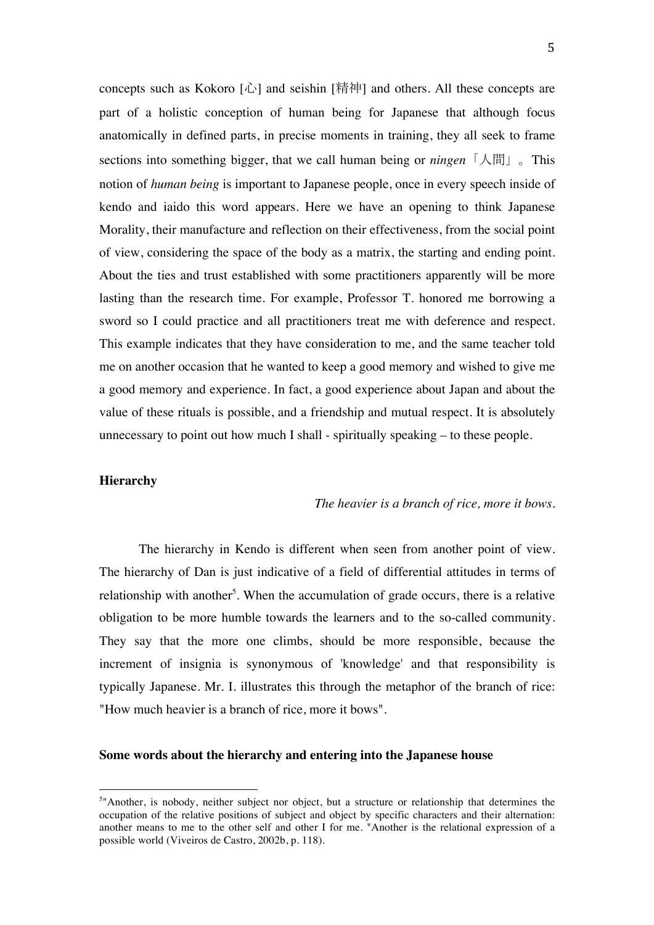concepts such as Kokoro [心] and seishin [精神] and others. All these concepts are part of a holistic conception of human being for Japanese that although focus anatomically in defined parts, in precise moments in training, they all seek to frame sections into something bigger, that we call human being or *ningen*「人間」。This notion of *human being* is important to Japanese people, once in every speech inside of kendo and iaido this word appears. Here we have an opening to think Japanese Morality, their manufacture and reflection on their effectiveness, from the social point of view, considering the space of the body as a matrix, the starting and ending point. About the ties and trust established with some practitioners apparently will be more lasting than the research time. For example, Professor T. honored me borrowing a sword so I could practice and all practitioners treat me with deference and respect. This example indicates that they have consideration to me, and the same teacher told me on another occasion that he wanted to keep a good memory and wished to give me a good memory and experience. In fact, a good experience about Japan and about the value of these rituals is possible, and a friendship and mutual respect. It is absolutely unnecessary to point out how much I shall - spiritually speaking – to these people.

## **Hierarchy**

 

#### *The heavier is a branch of rice, more it bows.*

The hierarchy in Kendo is different when seen from another point of view. The hierarchy of Dan is just indicative of a field of differential attitudes in terms of relationship with another<sup>5</sup>. When the accumulation of grade occurs, there is a relative obligation to be more humble towards the learners and to the so-called community. They say that the more one climbs, should be more responsible, because the increment of insignia is synonymous of 'knowledge' and that responsibility is typically Japanese. Mr. I. illustrates this through the metaphor of the branch of rice: "How much heavier is a branch of rice, more it bows".

### **Some words about the hierarchy and entering into the Japanese house**

<sup>&</sup>lt;sup>5</sup>"Another, is nobody, neither subject nor object, but a structure or relationship that determines the occupation of the relative positions of subject and object by specific characters and their alternation: another means to me to the other self and other I for me. "Another is the relational expression of a possible world (Viveiros de Castro, 2002b, p. 118).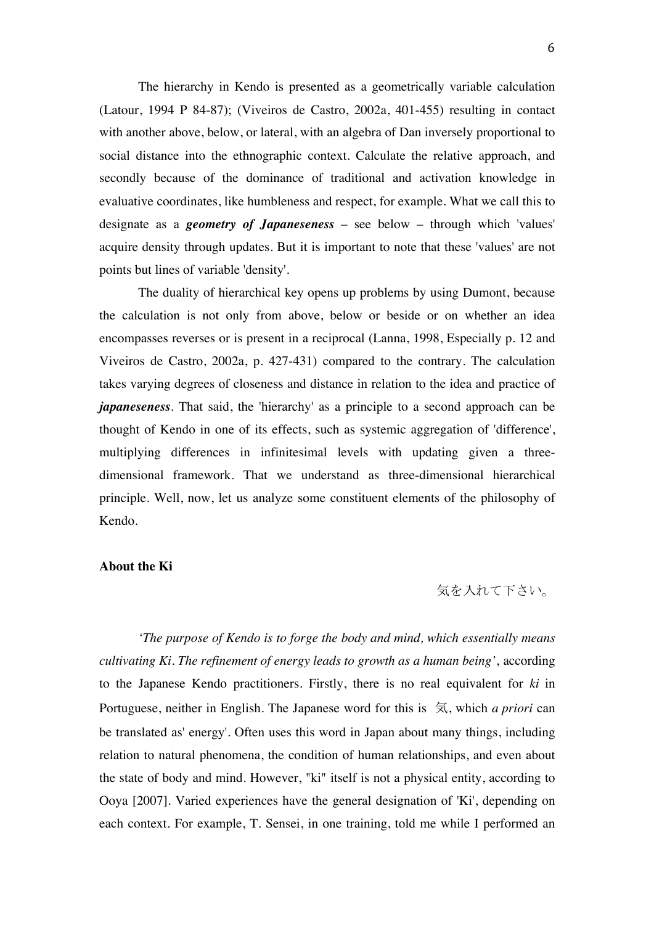The hierarchy in Kendo is presented as a geometrically variable calculation (Latour, 1994 P 84-87); (Viveiros de Castro, 2002a, 401-455) resulting in contact with another above, below, or lateral, with an algebra of Dan inversely proportional to social distance into the ethnographic context. Calculate the relative approach, and secondly because of the dominance of traditional and activation knowledge in evaluative coordinates, like humbleness and respect, for example. What we call this to designate as a *geometry of Japaneseness* – see below – through which 'values' acquire density through updates. But it is important to note that these 'values' are not points but lines of variable 'density'.

The duality of hierarchical key opens up problems by using Dumont, because the calculation is not only from above, below or beside or on whether an idea encompasses reverses or is present in a reciprocal (Lanna, 1998, Especially p. 12 and Viveiros de Castro, 2002a, p. 427-431) compared to the contrary. The calculation takes varying degrees of closeness and distance in relation to the idea and practice of *japaneseness*. That said, the 'hierarchy' as a principle to a second approach can be thought of Kendo in one of its effects, such as systemic aggregation of 'difference', multiplying differences in infinitesimal levels with updating given a threedimensional framework. That we understand as three-dimensional hierarchical principle. Well, now, let us analyze some constituent elements of the philosophy of Kendo.

## **About the Ki**

# 気を入れて下さい。

*'The purpose of Kendo is to forge the body and mind, which essentially means cultivating Ki. The refinement of energy leads to growth as a human being'*, according to the Japanese Kendo practitioners. Firstly, there is no real equivalent for *ki* in Portuguese, neither in English. The Japanese word for this is 気, which *a priori* can be translated as' energy'. Often uses this word in Japan about many things, including relation to natural phenomena, the condition of human relationships, and even about the state of body and mind. However, "ki" itself is not a physical entity, according to Ooya [2007]. Varied experiences have the general designation of 'Ki', depending on each context. For example, T. Sensei, in one training, told me while I performed an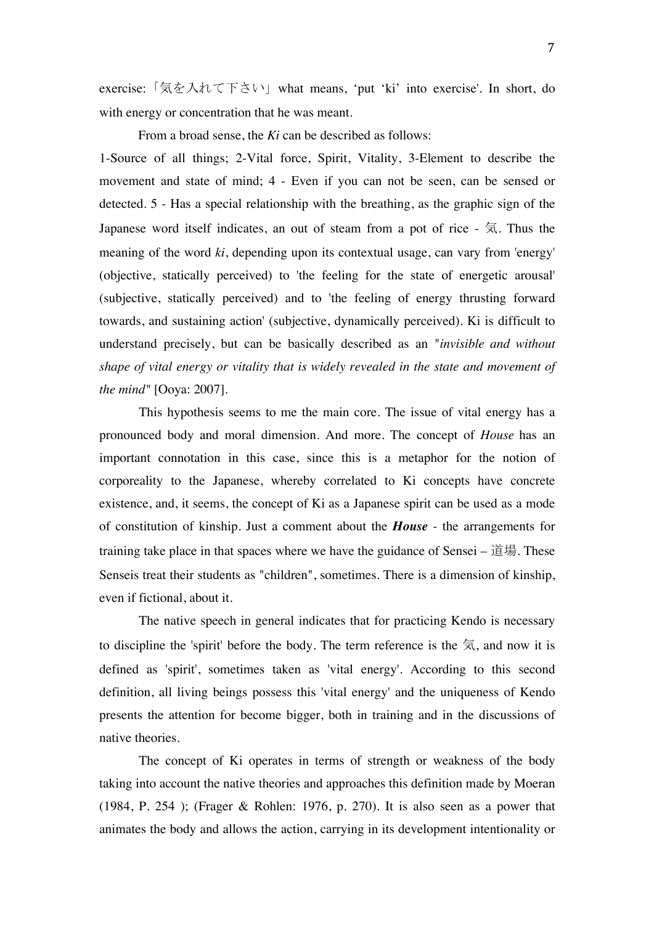exercise:「気を入れて下さい」what means, 'put 'ki' into exercise'. In short, do with energy or concentration that he was meant.

From a broad sense, the *Ki* can be described as follows:

1-Source of all things; 2-Vital force, Spirit, Vitality, 3-Element to describe the movement and state of mind; 4 - Even if you can not be seen, can be sensed or detected. 5 - Has a special relationship with the breathing, as the graphic sign of the Japanese word itself indicates, an out of steam from a pot of rice - 気. Thus the meaning of the word *ki*, depending upon its contextual usage, can vary from 'energy' (objective, statically perceived) to 'the feeling for the state of energetic arousal' (subjective, statically perceived) and to 'the feeling of energy thrusting forward towards, and sustaining action' (subjective, dynamically perceived). Ki is difficult to understand precisely, but can be basically described as an "*invisible and without shape of vital energy or vitality that is widely revealed in the state and movement of the mind"* [Ooya: 2007].

This hypothesis seems to me the main core. The issue of vital energy has a pronounced body and moral dimension. And more. The concept of *House* has an important connotation in this case, since this is a metaphor for the notion of corporeality to the Japanese, whereby correlated to Ki concepts have concrete existence, and, it seems, the concept of Ki as a Japanese spirit can be used as a mode of constitution of kinship. Just a comment about the *House* - the arrangements for training take place in that spaces where we have the guidance of Sensei – 道場. These Senseis treat their students as "children", sometimes. There is a dimension of kinship, even if fictional, about it.

The native speech in general indicates that for practicing Kendo is necessary to discipline the 'spirit' before the body. The term reference is the  $\overline{5}$ , and now it is defined as 'spirit', sometimes taken as 'vital energy'. According to this second definition, all living beings possess this 'vital energy' and the uniqueness of Kendo presents the attention for become bigger, both in training and in the discussions of native theories.

The concept of Ki operates in terms of strength or weakness of the body taking into account the native theories and approaches this definition made by Moeran (1984, P. 254 ); (Frager & Rohlen: 1976, p. 270). It is also seen as a power that animates the body and allows the action, carrying in its development intentionality or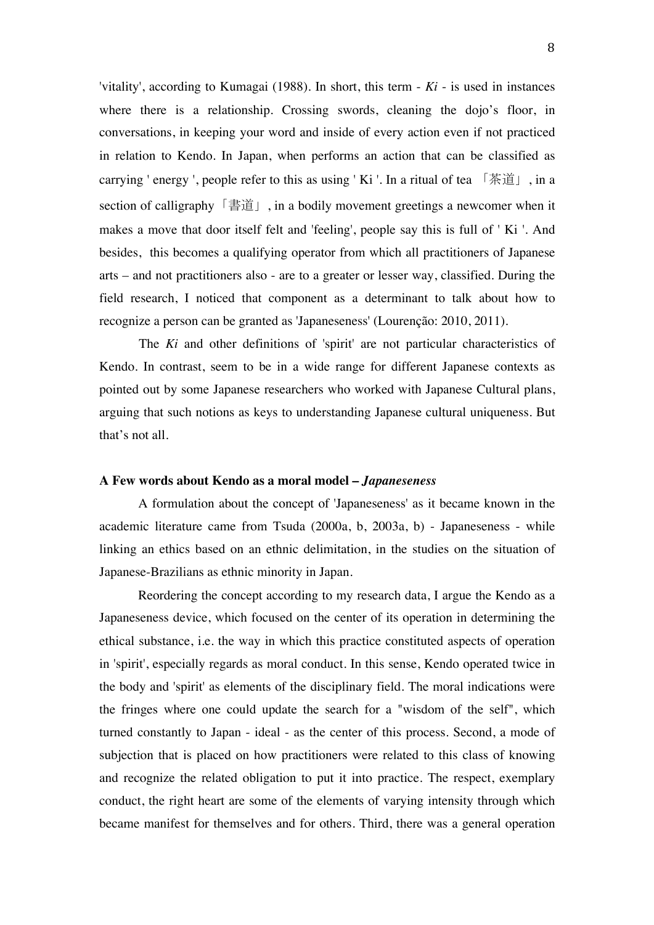'vitality', according to Kumagai (1988). In short, this term - *Ki* - is used in instances where there is a relationship. Crossing swords, cleaning the dojo's floor, in conversations, in keeping your word and inside of every action even if not practiced in relation to Kendo. In Japan, when performs an action that can be classified as carrying ' energy ', people refer to this as using ' Ki '. In a ritual of tea 「茶道」, in a section of calligraphy「書道」, in a bodily movement greetings a newcomer when it makes a move that door itself felt and 'feeling', people say this is full of ' Ki '. And besides, this becomes a qualifying operator from which all practitioners of Japanese arts – and not practitioners also - are to a greater or lesser way, classified. During the field research, I noticed that component as a determinant to talk about how to recognize a person can be granted as 'Japaneseness' (Lourenção: 2010, 2011).

The *Ki* and other definitions of 'spirit' are not particular characteristics of Kendo. In contrast, seem to be in a wide range for different Japanese contexts as pointed out by some Japanese researchers who worked with Japanese Cultural plans, arguing that such notions as keys to understanding Japanese cultural uniqueness. But that's not all.

#### **A Few words about Kendo as a moral model –** *Japaneseness*

A formulation about the concept of 'Japaneseness' as it became known in the academic literature came from Tsuda (2000a, b, 2003a, b) - Japaneseness - while linking an ethics based on an ethnic delimitation, in the studies on the situation of Japanese-Brazilians as ethnic minority in Japan.

Reordering the concept according to my research data, I argue the Kendo as a Japaneseness device, which focused on the center of its operation in determining the ethical substance, i.e. the way in which this practice constituted aspects of operation in 'spirit', especially regards as moral conduct. In this sense, Kendo operated twice in the body and 'spirit' as elements of the disciplinary field. The moral indications were the fringes where one could update the search for a "wisdom of the self", which turned constantly to Japan - ideal - as the center of this process. Second, a mode of subjection that is placed on how practitioners were related to this class of knowing and recognize the related obligation to put it into practice. The respect, exemplary conduct, the right heart are some of the elements of varying intensity through which became manifest for themselves and for others. Third, there was a general operation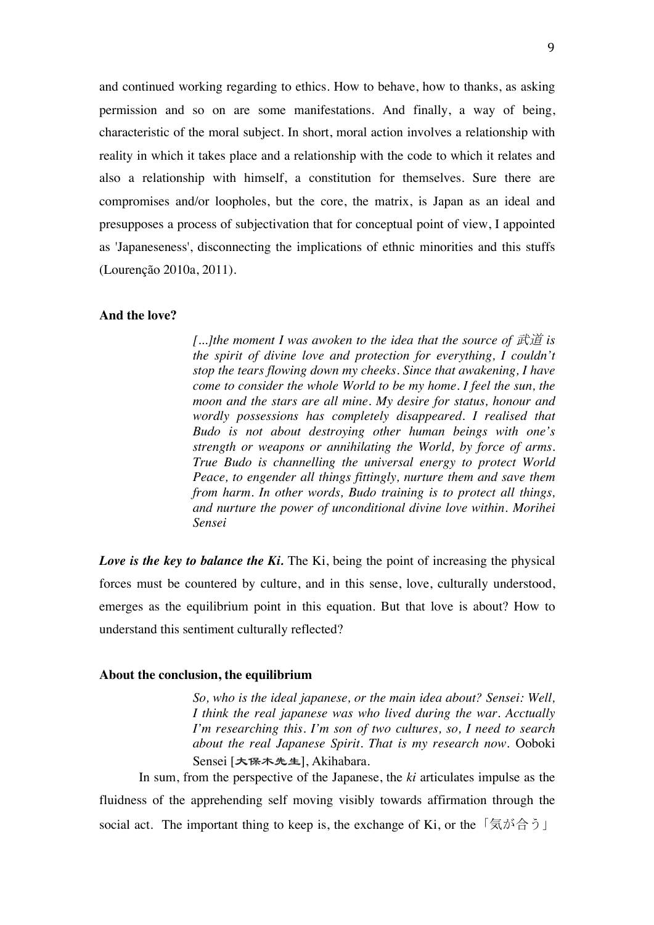and continued working regarding to ethics. How to behave, how to thanks, as asking permission and so on are some manifestations. And finally, a way of being, characteristic of the moral subject. In short, moral action involves a relationship with reality in which it takes place and a relationship with the code to which it relates and also a relationship with himself, a constitution for themselves. Sure there are compromises and/or loopholes, but the core, the matrix, is Japan as an ideal and presupposes a process of subjectivation that for conceptual point of view, I appointed as 'Japaneseness', disconnecting the implications of ethnic minorities and this stuffs (Lourenção 2010a, 2011).

## **And the love?**

*[...]the moment I was awoken to the idea that the source of 武道 is the spirit of divine love and protection for everything, I couldn't stop the tears flowing down my cheeks. Since that awakening, I have come to consider the whole World to be my home. I feel the sun, the moon and the stars are all mine. My desire for status, honour and wordly possessions has completely disappeared. I realised that Budo is not about destroying other human beings with one's strength or weapons or annihilating the World, by force of arms. True Budo is channelling the universal energy to protect World Peace, to engender all things fittingly, nurture them and save them from harm. In other words, Budo training is to protect all things, and nurture the power of unconditional divine love within. Morihei Sensei*

*Love is the key to balance the Ki.* The Ki, being the point of increasing the physical forces must be countered by culture, and in this sense, love, culturally understood, emerges as the equilibrium point in this equation. But that love is about? How to understand this sentiment culturally reflected?

#### **About the conclusion, the equilibrium**

*So, who is the ideal japanese, or the main idea about? Sensei: Well, I think the real japanese was who lived during the war. Acctually I'm researching this. I'm son of two cultures, so, I need to search about the real Japanese Spirit. That is my research now.* Ooboki Sensei [大保木先生], Akihabara.

In sum, from the perspective of the Japanese, the *ki* articulates impulse as the fluidness of the apprehending self moving visibly towards affirmation through the social act. The important thing to keep is, the exchange of Ki, or the  $\lceil \xi \pi \tilde{\beta} \rceil$